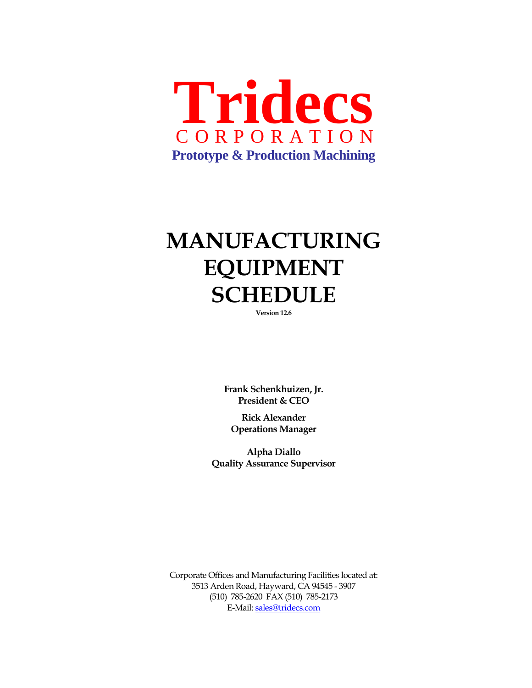

## **MANUFACTURING EQUIPMENT SCHEDULE**

**Version 12.6** 

**Frank Schenkhuizen, Jr. President & CEO** 

**Rick Alexander Operations Manager** 

**Alpha Diallo Quality Assurance Supervisor** 

Corporate Offices and Manufacturing Facilities located at: 3513 Arden Road, Hayward, CA 94545 - 3907 (510) 785-2620 FAX (510) 785-2173 E-Mail: sales@tridecs.com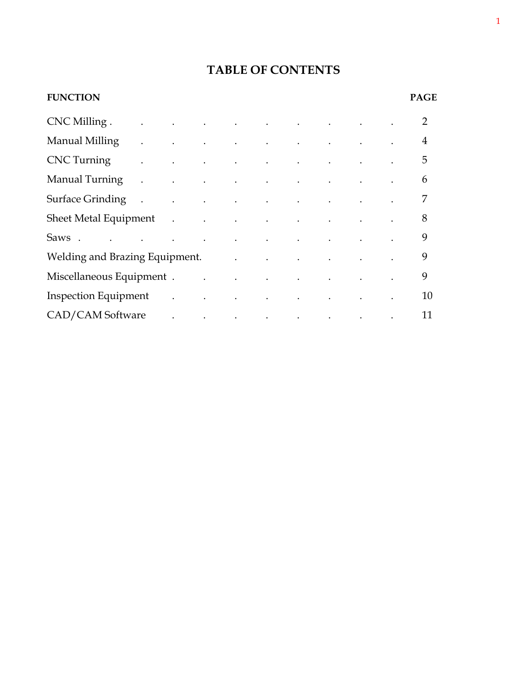### **TABLE OF CONTENTS**

|                      |  |                        |  |                                                                                                                                                                                                                                                                                  |                                                                                                                                                                                                                                                                                                                                                                                                                                                                                                                                                                                                                                                      | <b>PAGE</b>                                                                                                                                                        |
|----------------------|--|------------------------|--|----------------------------------------------------------------------------------------------------------------------------------------------------------------------------------------------------------------------------------------------------------------------------------|------------------------------------------------------------------------------------------------------------------------------------------------------------------------------------------------------------------------------------------------------------------------------------------------------------------------------------------------------------------------------------------------------------------------------------------------------------------------------------------------------------------------------------------------------------------------------------------------------------------------------------------------------|--------------------------------------------------------------------------------------------------------------------------------------------------------------------|
|                      |  |                        |  |                                                                                                                                                                                                                                                                                  |                                                                                                                                                                                                                                                                                                                                                                                                                                                                                                                                                                                                                                                      | $\overline{2}$                                                                                                                                                     |
|                      |  |                        |  |                                                                                                                                                                                                                                                                                  |                                                                                                                                                                                                                                                                                                                                                                                                                                                                                                                                                                                                                                                      | 4                                                                                                                                                                  |
|                      |  |                        |  |                                                                                                                                                                                                                                                                                  |                                                                                                                                                                                                                                                                                                                                                                                                                                                                                                                                                                                                                                                      | 5                                                                                                                                                                  |
| $\ddot{\phantom{0}}$ |  |                        |  |                                                                                                                                                                                                                                                                                  |                                                                                                                                                                                                                                                                                                                                                                                                                                                                                                                                                                                                                                                      | 6                                                                                                                                                                  |
|                      |  |                        |  |                                                                                                                                                                                                                                                                                  |                                                                                                                                                                                                                                                                                                                                                                                                                                                                                                                                                                                                                                                      | 7                                                                                                                                                                  |
|                      |  |                        |  |                                                                                                                                                                                                                                                                                  |                                                                                                                                                                                                                                                                                                                                                                                                                                                                                                                                                                                                                                                      | 8                                                                                                                                                                  |
|                      |  |                        |  |                                                                                                                                                                                                                                                                                  |                                                                                                                                                                                                                                                                                                                                                                                                                                                                                                                                                                                                                                                      | 9                                                                                                                                                                  |
|                      |  |                        |  |                                                                                                                                                                                                                                                                                  |                                                                                                                                                                                                                                                                                                                                                                                                                                                                                                                                                                                                                                                      | 9                                                                                                                                                                  |
|                      |  |                        |  |                                                                                                                                                                                                                                                                                  |                                                                                                                                                                                                                                                                                                                                                                                                                                                                                                                                                                                                                                                      | 9                                                                                                                                                                  |
|                      |  |                        |  |                                                                                                                                                                                                                                                                                  |                                                                                                                                                                                                                                                                                                                                                                                                                                                                                                                                                                                                                                                      | 10                                                                                                                                                                 |
|                      |  |                        |  |                                                                                                                                                                                                                                                                                  |                                                                                                                                                                                                                                                                                                                                                                                                                                                                                                                                                                                                                                                      | 11                                                                                                                                                                 |
|                      |  | $CNC$ Milling $\ldots$ |  | and the contract of the contract of<br>$\mathcal{L}^{\mathcal{A}}$ . The contribution of the contribution of the contribution of the contribution of the contribution of the contribution of the contribution of the contribution of the contribution of the contribution of the | and the contract of the contract of the contract of<br>$\mathcal{L}^{\mathcal{A}}$ . The contribution of the contribution of the contribution of the contribution of the contribution of the contribution of the contribution of the contribution of the contribution of the contribution of the<br>Inspection Equipment and the contract of the contract of the contract of the contract of the contract of the contract of the contract of the contract of the contract of the contract of the contract of the contract of the c<br>$\mathcal{L}^{\mathcal{A}}$ and $\mathcal{A}^{\mathcal{A}}$ are the set of the set of the set of $\mathcal{A}$ | the contract of the contract of the contract of the contract of the contract of<br>Sheet Metal Equipment (Sheet Metal Equipment)<br>Welding and Brazing Equipment. |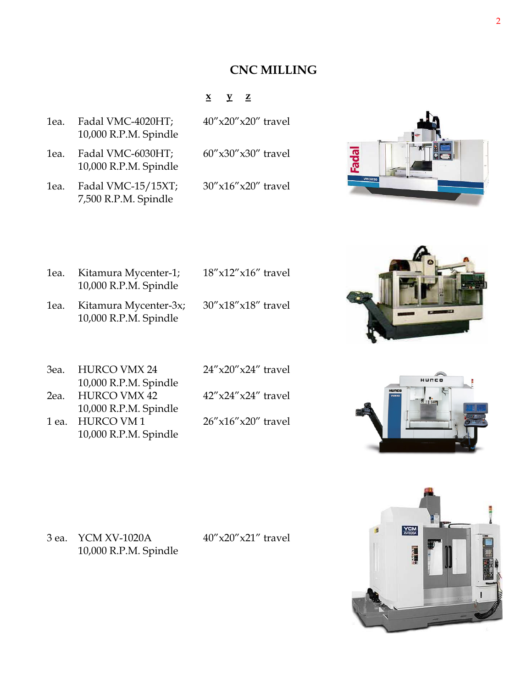#### **CNC MILLING**

#### **x y z**

| lea. | Fadal VMC-4020HT;     |  |  |
|------|-----------------------|--|--|
|      | 10,000 R.P.M. Spindle |  |  |

1ea. Fadal VMC-6030HT; 60"x30"x30" travel 10,000 R.P.M. Spindle

1ea. Fadal VMC-15/15XT; 30"x16"x20" travel 7,500 R.P.M. Spindle

 $40''$ x20" x20" travel

# **Iepe**

| lea. | Kitamura Mycenter-1;<br>10,000 R.P.M. Spindle  | $18''$ x $12''$ x $16''$ travel |
|------|------------------------------------------------|---------------------------------|
| lea. | Kitamura Mycenter-3x;<br>10,000 R.P.M. Spindle | $30''$ x $18''$ x $18''$ travel |



| HURCO VMX 24<br>3еа.  | $24''$ x20"x24" travel  |
|-----------------------|-------------------------|
| 10,000 R.P.M. Spindle |                         |
| <b>HURCO VMX 42</b>   | $42''x24''x24''$ travel |
| 10,000 R.P.M. Spindle |                         |
| <b>HURCO VM1</b>      | $26''x16''x20''$ travel |
| 10,000 R.P.M. Spindle |                         |
|                       |                         |





3 ea. YCM XV-1020A 40"x20"x21" travel 10,000 R.P.M. Spindle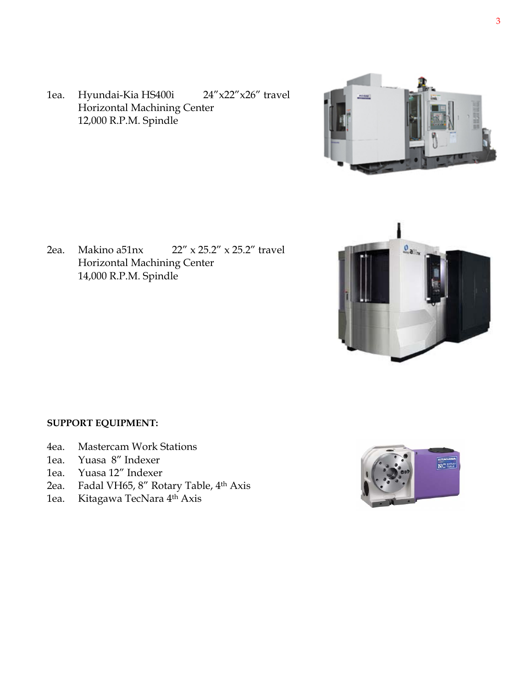1ea. Hyundai-Kia HS400i 24"x22"x26" travel Horizontal Machining Center 12,000 R.P.M. Spindle



2ea. Makino a51nx 22" x 25.2" x 25.2" travel Horizontal Machining Center 14,000 R.P.M. Spindle



#### **SUPPORT EQUIPMENT:**

- 4ea. Mastercam Work Stations
- 1ea. Yuasa 8" Indexer
- 1ea. Yuasa 12" Indexer
- 2ea. Fadal VH65, 8" Rotary Table, 4th Axis
- 1ea. Kitagawa TecNara 4th Axis

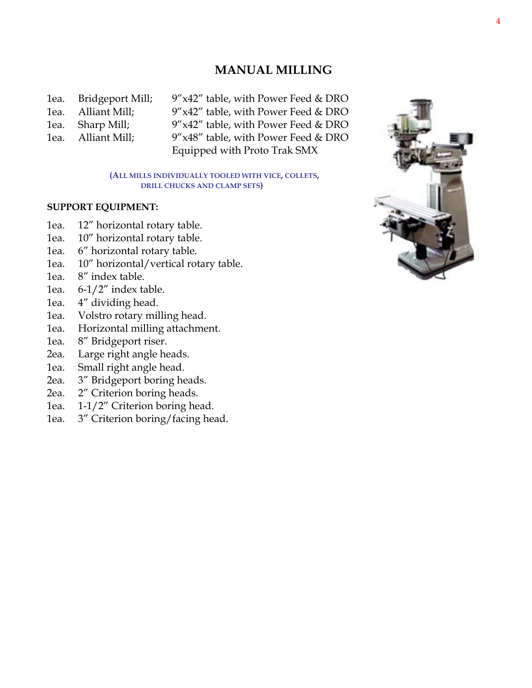#### **MANUAL MILLING**

| lea. | Bridgeport Mill; |
|------|------------------|
| lea. | Alliant Mill;    |
| 1ea. | Sharp Mill;      |
| 1ea. | Alliant Mill;    |
|      |                  |

 $9''x42''$  table, with Power Feed & DRO  $9''x42''$  table, with Power Feed & DRO  $9''x42''$  table, with Power Feed & DRO  $9''x48''$  table, with Power Feed & DRO Equipped with Proto Trak SMX

**(ALL MILLS INDIVIDUALLY TOOLED WITH VICE, COLLETS, DRILL CHUCKS AND CLAMP SETS)**

#### **SUPPORT EQUIPMENT:**

- 1ea. 12" horizontal rotary table.
- 1ea. 10" horizontal rotary table.
- 1ea. 6" horizontal rotary table.
- 1ea. 10" horizontal/vertical rotary table.
- 1ea. 8" index table.
- 1ea. 6-1/2" index table.
- 1ea. 4" dividing head.
- 1ea. Volstro rotary milling head.
- 1ea. Horizontal milling attachment.
- 1ea. 8" Bridgeport riser.
- 2ea. Large right angle heads.
- 1ea. Small right angle head.
- 2ea. 3" Bridgeport boring heads.
- 2ea. 2" Criterion boring heads.
- 1ea. 1-1/2" Criterion boring head.
- 1ea. 3" Criterion boring/facing head.

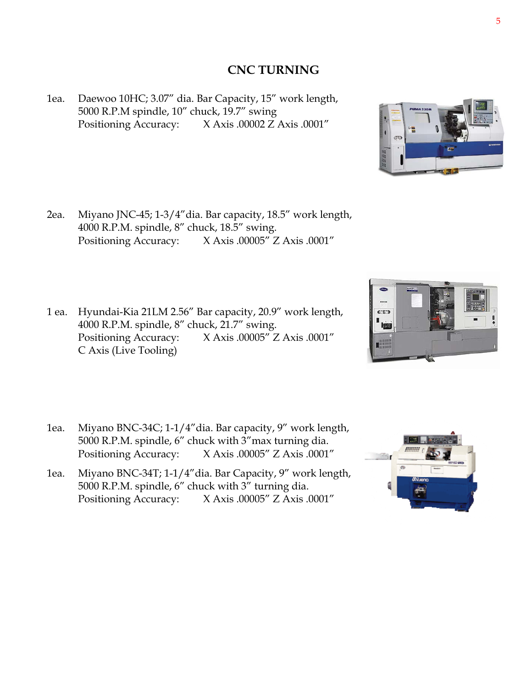#### **CNC TURNING**

1ea. Daewoo 10HC; 3.07" dia. Bar Capacity, 15" work length, 5000 R.P.M spindle, 10" chuck, 19.7" swing Positioning Accuracy: X Axis .00002 Z Axis .0001"

- 2ea. Miyano JNC-45; 1-3/4"dia. Bar capacity, 18.5" work length, 4000 R.P.M. spindle, 8" chuck, 18.5" swing. Positioning Accuracy: X Axis .00005" Z Axis .0001"
- 1 ea. Hyundai-Kia 21LM 2.56" Bar capacity, 20.9" work length, 4000 R.P.M. spindle, 8" chuck, 21.7" swing. Positioning Accuracy: X Axis .00005" Z Axis .0001" C Axis (Live Tooling)
- 1ea. Miyano BNC-34C; 1-1/4"dia. Bar capacity, 9" work length, 5000 R.P.M. spindle, 6" chuck with 3"max turning dia. Positioning Accuracy: X Axis .00005" Z Axis .0001"
- 1ea. Miyano BNC-34T; 1-1/4"dia. Bar Capacity, 9" work length, 5000 R.P.M. spindle, 6" chuck with 3" turning dia. Positioning Accuracy: X Axis .00005" Z Axis .0001"





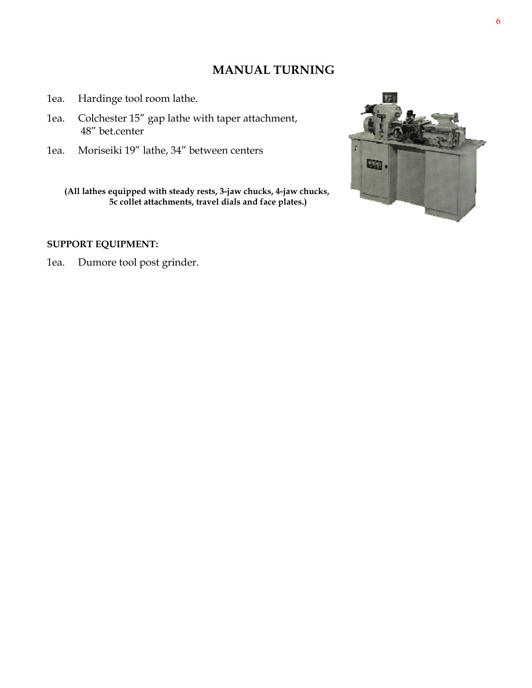#### **MANUAL TURNING**

- 1ea. Hardinge tool room lathe.
- 1ea. Colchester 15" gap lathe with taper attachment, 48" bet.center
- 1ea. Moriseiki 19" lathe, 34" between centers

 **(All lathes equipped with steady rests, 3-jaw chucks, 4-jaw chucks, 5c collet attachments, travel dials and face plates.)** 

#### **SUPPORT EQUIPMENT:**

1ea. Dumore tool post grinder.

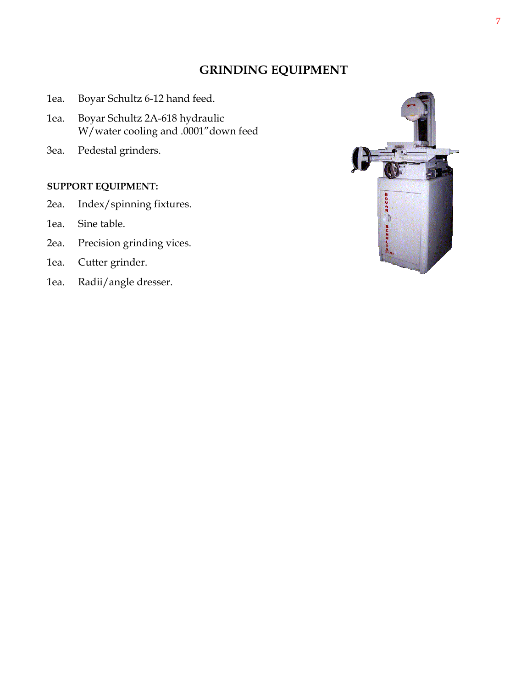#### **GRINDING EQUIPMENT**

- 1ea. Boyar Schultz 6-12 hand feed.
- 1ea. Boyar Schultz 2A-618 hydraulic W/water cooling and .0001"down feed
- 3ea. Pedestal grinders.

#### **SUPPORT EQUIPMENT:**

- 2ea. Index/spinning fixtures.
- 1ea. Sine table.
- 2ea. Precision grinding vices.
- 1ea. Cutter grinder.
- 1ea. Radii/angle dresser.

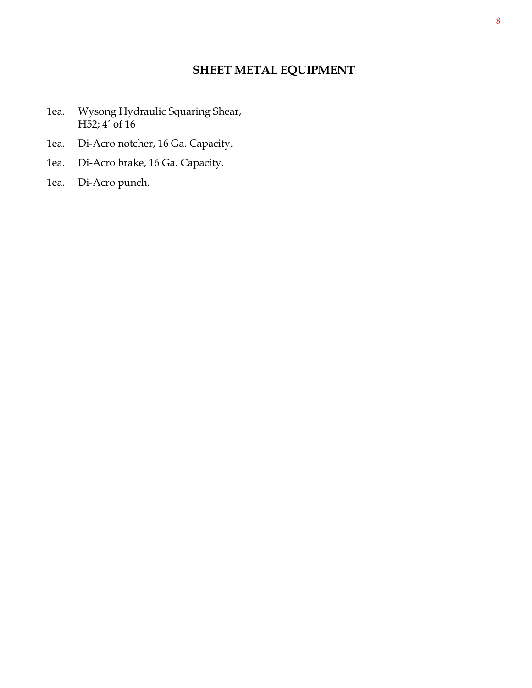#### **SHEET METAL EQUIPMENT**

- 1ea. Wysong Hydraulic Squaring Shear, H52; 4' of 16
- 1ea. Di-Acro notcher, 16 Ga. Capacity.
- 1ea. Di-Acro brake, 16 Ga. Capacity.
- 1ea. Di-Acro punch.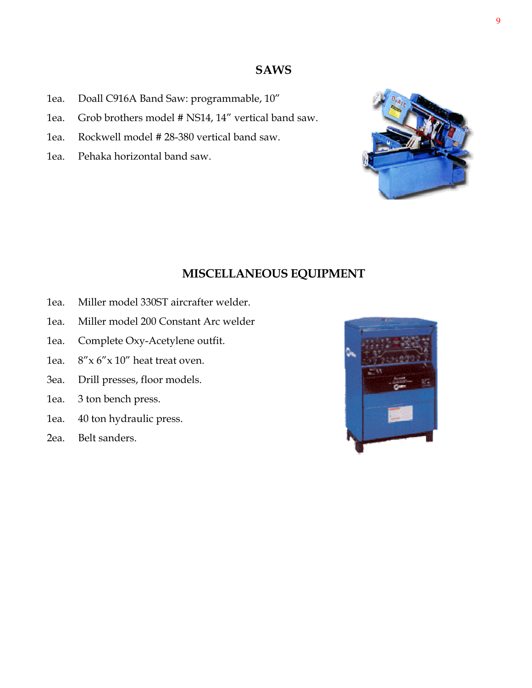#### **SAWS**

- 1ea. Doall C916A Band Saw: programmable, 10"
- 1ea. Grob brothers model # NS14, 14" vertical band saw.
- 1ea. Rockwell model # 28-380 vertical band saw.
- 1ea. Pehaka horizontal band saw.

**MISCELLANEOUS EQUIPMENT** 

- 1ea. Miller model 330ST aircrafter welder.
- 1ea. Miller model 200 Constant Arc welder
- 1ea. Complete Oxy-Acetylene outfit.
- 1ea.  $8''$ x 6" x 10" heat treat oven.
- 3ea. Drill presses, floor models.
- 1ea. 3 ton bench press.
- 1ea. 40 ton hydraulic press.
- 2ea. Belt sanders.



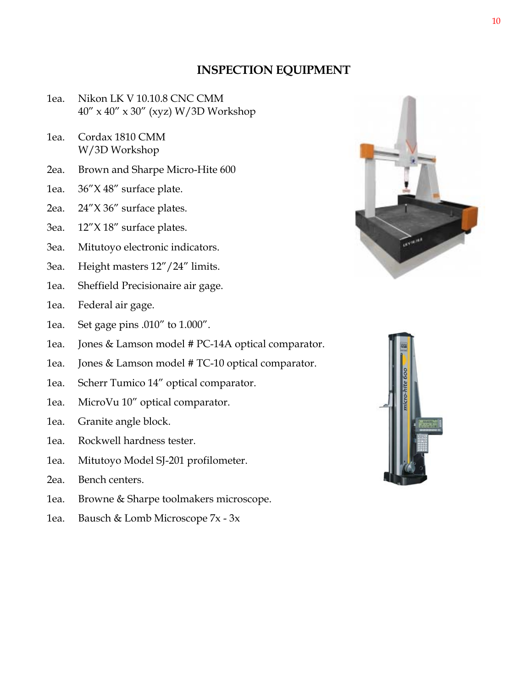#### **INSPECTION EQUIPMENT**

- 1ea. Nikon LK V 10.10.8 CNC CMM 40" x 40" x 30" (xyz) W/3D Workshop
- 1ea. Cordax 1810 CMM W/3D Workshop
- 2ea. Brown and Sharpe Micro-Hite 600
- 1ea. 36"X 48" surface plate.
- 2ea. 24"X 36" surface plates.
- 3ea. 12"X 18" surface plates.
- 3ea. Mitutoyo electronic indicators.
- 3ea. Height masters 12"/24" limits.
- 1ea. Sheffield Precisionaire air gage.
- 1ea. Federal air gage.
- 1ea. Set gage pins .010" to 1.000".
- 1ea. Jones & Lamson model # PC-14A optical comparator.
- 1ea. Jones & Lamson model # TC-10 optical comparator.
- 1ea. Scherr Tumico 14" optical comparator.
- 1ea. MicroVu 10" optical comparator.
- 1ea. Granite angle block.
- 1ea. Rockwell hardness tester.
- 1ea. Mitutoyo Model SJ-201 profilometer.
- 2ea. Bench centers.
- 1ea. Browne & Sharpe toolmakers microscope.
- 1ea. Bausch & Lomb Microscope 7x 3x